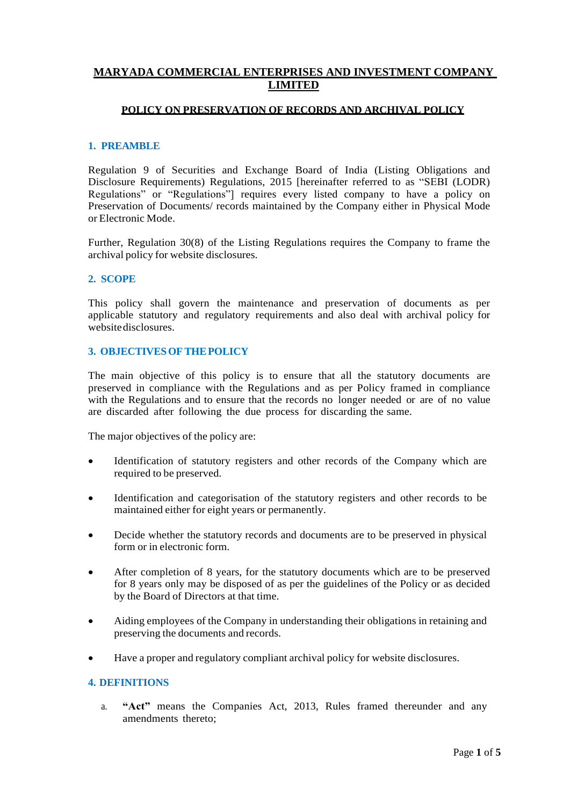# **MARYADA COMMERCIAL ENTERPRISES AND INVESTMENT COMPANY LIMITED**

## **POLICY ON PRESERVATION OF RECORDS AND ARCHIVAL POLICY**

### **1. PREAMBLE**

Regulation 9 of Securities and Exchange Board of India (Listing Obligations and Disclosure Requirements) Regulations, 2015 [hereinafter referred to as "SEBI (LODR) Regulations" or "Regulations"] requires every listed company to have a policy on Preservation of Documents/ records maintained by the Company either in Physical Mode or Electronic Mode.

Further, Regulation 30(8) of the Listing Regulations requires the Company to frame the archival policy for website disclosures.

#### **2. SCOPE**

This policy shall govern the maintenance and preservation of documents as per applicable statutory and regulatory requirements and also deal with archival policy for websitedisclosures.

#### **3. OBJECTIVESOFTHEPOLICY**

The main objective of this policy is to ensure that all the statutory documents are preserved in compliance with the Regulations and as per Policy framed in compliance with the Regulations and to ensure that the records no longer needed or are of no value are discarded after following the due process for discarding the same.

The major objectives of the policy are:

- Identification of statutory registers and other records of the Company which are required to be preserved.
- Identification and categorisation of the statutory registers and other records to be maintained either for eight years or permanently.
- Decide whether the statutory records and documents are to be preserved in physical form or in electronic form.
- After completion of 8 years, for the statutory documents which are to be preserved for 8 years only may be disposed of as per the guidelines of the Policy or as decided by the Board of Directors at that time.
- Aiding employees of the Company in understanding their obligations in retaining and preserving the documents and records.
- Have a proper and regulatory compliant archival policy for website disclosures.

#### **4. DEFINITIONS**

a. **"Act"** means the Companies Act, 2013, Rules framed thereunder and any amendments thereto;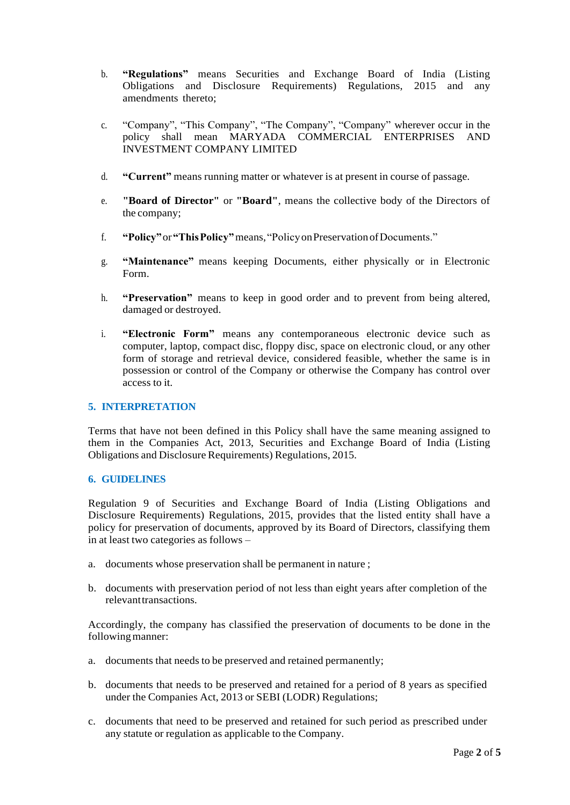- b. **"Regulations"** means Securities and Exchange Board of India (Listing Obligations and Disclosure Requirements) Regulations, 2015 and any amendments thereto;
- c. "Company", "This Company", "The Company", "Company" wherever occur in the policy shall mean MARYADA COMMERCIAL ENTERPRISES AND INVESTMENT COMPANY LIMITED
- d. **"Current"** means running matter or whatever is at present in course of passage.
- e. **"Board of Director"** or **"Board"**, means the collective body of the Directors of the company;
- f. **"Policy"**or**"ThisPolicy"**means,"PolicyonPreservationofDocuments."
- g. **"Maintenance"** means keeping Documents, either physically or in Electronic Form.
- h. **"Preservation"** means to keep in good order and to prevent from being altered, damaged or destroyed.
- i. **"Electronic Form"** means any contemporaneous electronic device such as computer, laptop, compact disc, floppy disc, space on electronic cloud, or any other form of storage and retrieval device, considered feasible, whether the same is in possession or control of the Company or otherwise the Company has control over access to it.

# **5. INTERPRETATION**

Terms that have not been defined in this Policy shall have the same meaning assigned to them in the Companies Act, 2013, Securities and Exchange Board of India (Listing Obligations and Disclosure Requirements) Regulations, 2015.

### **6. GUIDELINES**

Regulation 9 of Securities and Exchange Board of India (Listing Obligations and Disclosure Requirements) Regulations, 2015, provides that the listed entity shall have a policy for preservation of documents, approved by its Board of Directors, classifying them in at least two categories as follows –

- a. documents whose preservation shall be permanent in nature ;
- b. documents with preservation period of not less than eight years after completion of the relevanttransactions.

Accordingly, the company has classified the preservation of documents to be done in the following manner:

- a. documents that needs to be preserved and retained permanently;
- b. documents that needs to be preserved and retained for a period of 8 years as specified under the Companies Act, 2013 or SEBI (LODR) Regulations;
- c. documents that need to be preserved and retained for such period as prescribed under any statute or regulation as applicable to the Company.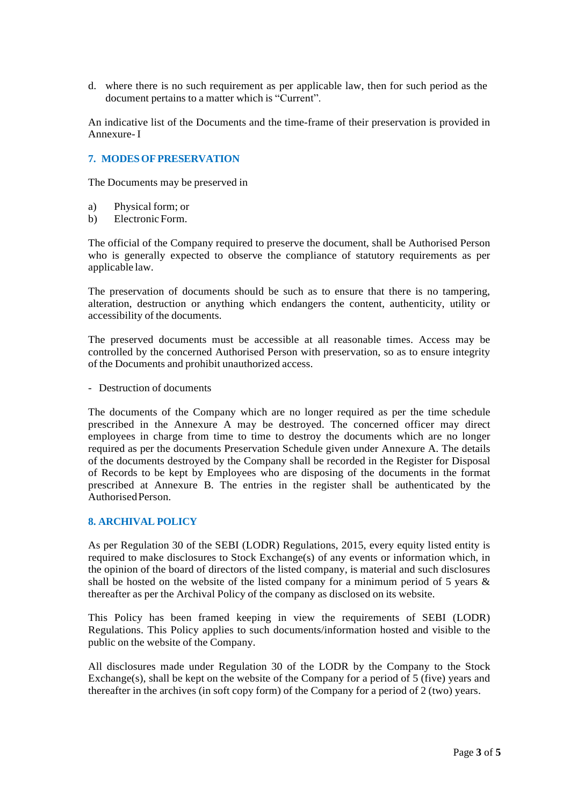d. where there is no such requirement as per applicable law, then for such period as the document pertains to a matter which is "Current".

An indicative list of the Documents and the time-frame of their preservation is provided in Annexure-I

## **7. MODESOFPRESERVATION**

The Documents may be preserved in

- a) Physical form; or
- b) ElectronicForm.

The official of the Company required to preserve the document, shall be Authorised Person who is generally expected to observe the compliance of statutory requirements as per applicable law.

The preservation of documents should be such as to ensure that there is no tampering, alteration, destruction or anything which endangers the content, authenticity, utility or accessibility of the documents.

The preserved documents must be accessible at all reasonable times. Access may be controlled by the concerned Authorised Person with preservation, so as to ensure integrity of the Documents and prohibit unauthorized access.

- Destruction of documents

The documents of the Company which are no longer required as per the time schedule prescribed in the Annexure A may be destroyed. The concerned officer may direct employees in charge from time to time to destroy the documents which are no longer required as per the documents Preservation Schedule given under Annexure A. The details of the documents destroyed by the Company shall be recorded in the Register for Disposal of Records to be kept by Employees who are disposing of the documents in the format prescribed at Annexure B. The entries in the register shall be authenticated by the AuthorisedPerson.

## **8. ARCHIVAL POLICY**

As per Regulation 30 of the SEBI (LODR) Regulations, 2015, every equity listed entity is required to make disclosures to Stock Exchange(s) of any events or information which, in the opinion of the board of directors of the listed company, is material and such disclosures shall be hosted on the website of the listed company for a minimum period of 5 years  $\&$ thereafter as per the Archival Policy of the company as disclosed on its website.

This Policy has been framed keeping in view the requirements of SEBI (LODR) Regulations. This Policy applies to such documents/information hosted and visible to the public on the website of the Company.

All disclosures made under Regulation 30 of the LODR by the Company to the Stock Exchange(s), shall be kept on the website of the Company for a period of 5 (five) years and thereafter in the archives (in soft copy form) of the Company for a period of 2 (two) years.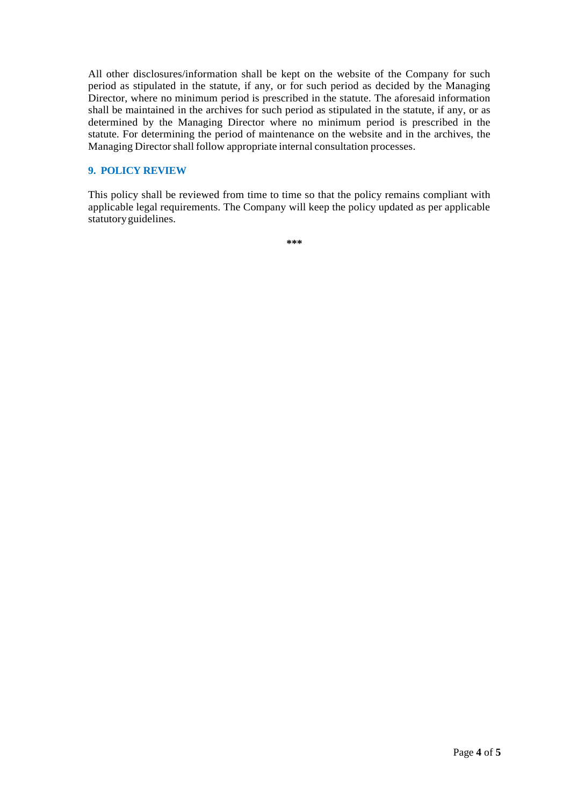All other disclosures/information shall be kept on the website of the Company for such period as stipulated in the statute, if any, or for such period as decided by the Managing Director, where no minimum period is prescribed in the statute. The aforesaid information shall be maintained in the archives for such period as stipulated in the statute, if any, or as determined by the Managing Director where no minimum period is prescribed in the statute. For determining the period of maintenance on the website and in the archives, the Managing Director shall follow appropriate internal consultation processes.

### **9. POLICY REVIEW**

This policy shall be reviewed from time to time so that the policy remains compliant with applicable legal requirements. The Company will keep the policy updated as per applicable statutory guidelines.

**\*\*\***